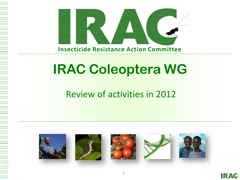

# **IRAC Coleoptera WG**

### Review of activities in 2012



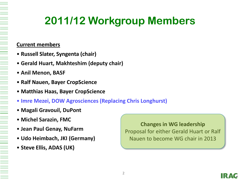# **2011/12 Workgroup Members**

#### **Current members**

- **Russell Slater, Syngenta (chair)**
- **Gerald Huart, Makhteshim (deputy chair)**
- **Anil Menon, BASF**
- **Ralf Nauen, Bayer CropScience**
- **Matthias Haas, Bayer CropScience**
- **Imre Mezei, DOW Agrosciences (Replacing Chris Longhurst)**
- **Magali Gravouil, DuPont**
- **Michel Sarazin, FMC**
- **Jean Paul Genay, NuFarm**
- **Udo Heimbach, JKI (Germany)**
- **Steve Ellis, ADAS (UK)**

**Changes in WG leadership** Proposal for either Gerald Huart or Ralf Nauen to become WG chair in 2013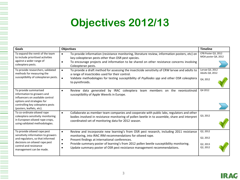### **Objectives 2012/13**

| Goals                                                                                                                                                                                         | <b>Objectives</b>                                                                                                                                                                                                                                              | <b>Timeline</b>                            |
|-----------------------------------------------------------------------------------------------------------------------------------------------------------------------------------------------|----------------------------------------------------------------------------------------------------------------------------------------------------------------------------------------------------------------------------------------------------------------|--------------------------------------------|
| To expand the remit of the team<br>to include prioritised activities<br>against a wider range of<br>coleoptera pests.                                                                         | To provide information (resistance monitoring, literature review, information posters, etc) on<br>$\bullet$<br>key coleopteran pests other than OSR pest species.                                                                                              | CPB Poster Q3, 2012<br>MOA poster Q4, 2012 |
|                                                                                                                                                                                               | To encourage projects and information to be shared on other resistance concerns involving<br>Coleopteran pests.                                                                                                                                                |                                            |
| To provide researchers, validated<br>methods for measuring the<br>susceptibility of coleopteran pests.                                                                                        | To provide a draft method for assessing the insecticide sensitivity of CRW larvae and adults to<br>$\bullet$<br>a range of insecticides used for their control.                                                                                                | Larvae Q3, 2012<br>Adults Q4, 2012         |
|                                                                                                                                                                                               | Validate methodologies for testing susceptibility of Psylliodes spp and other OSR coleoptera<br>$\bullet$<br>to pyrethroids.                                                                                                                                   | Q4, 2012                                   |
| To provide summarised<br>information to growers and<br>influencers on available control<br>options and strategies for                                                                         | Review data generated by IRAC coleoptera team members on the neonicotinoid<br>$\bullet$<br>susceptibility of Apple Weevils in Europe.                                                                                                                          | Q4 2012                                    |
| controlling key coleoptera pests<br>(posters, leaflets, etc).                                                                                                                                 |                                                                                                                                                                                                                                                                |                                            |
| To co-ordinate oilseed rape<br>coleoptera sensitivity monitoring<br>in European oilseed rape crops,<br>using validated methodologies.                                                         | Collaborate as member team companies and cooperate with public labs, regulators and other<br>$\bullet$<br>bodies involved in resistance monitoring of pollen beetle in to assemble, share and interpret<br>coordinated set of monitoring data for 2012 season. | Q3, 2012                                   |
| To provide oilseed rape pest<br>sensitivity information to growers<br>and regulators, so that informed<br>decisions on oilseed rape pest<br>control and resistance<br>management can be made. | Review and incorporate new learning's from OSR pest research, including 2011 resistance<br>$\bullet$<br>monitoring, into IRAC IRM recommendations for oilseed rape.                                                                                            | Q2, 2012                                   |
|                                                                                                                                                                                               | Present findings at international conferences.<br>$\bullet$<br>$\bullet$                                                                                                                                                                                       | Q2, 2012                                   |
|                                                                                                                                                                                               | Provide summary poster of learning's from 2012 pollen beetle susceptibility monitoring.<br>Update summary poster of OSR pest resistance management recommendations.                                                                                            | Q2, 2013<br>Q2, 2012                       |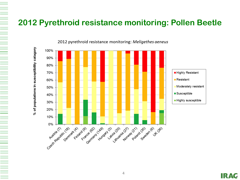### **2012 Pyrethroid resistance monitoring: Pollen Beetle**



2012 pyrethroid resistance monitoring: Meligethes aeneus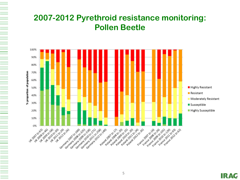### **2007-2012 Pyrethroid resistance monitoring: Pollen Beetle**



**IRAC**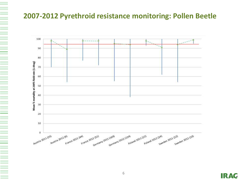### **2007-2012 Pyrethroid resistance monitoring: Pollen Beetle**

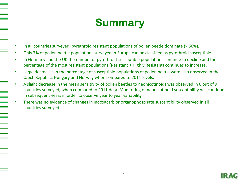## **Summary**

- In all countries surveyed, pyrethroid resistant populations of pollen beetle dominate (> 60%).
- Only 7% of pollen beetle populations surveyed in Europe can be classified as pyrethroid susceptible.
- In Germany and the UK the number of pyrethroid-susceptible populations continue to decline and the percentage of the most resistant populations (Resistant + Highly Resistant) continues to increase.
- Large decreases in the percentage of susceptible populations of pollen beetle were also observed in the Czech Republic, Hungary and Norway when compared to 2011 levels.
- A slight decrease in the mean sensitivity of pollen beetles to neonicotinoids was observed in 6 out of 9 countries surveyed, when compared to 2011 data. Monitoring of neonicotinoid susceptibility will continue in subsequent years in order to observe year to year variability.
- There was no evidence of changes in indoxacarb or organophosphate susceptibility observed in all countries surveyed.

A THE BELLEVIEW AND A THE PERSON WAS ARRESTED FOR A THE PERSON WAS ARRESTED FOR A SERIES OF A SERIES OF A SERIES OF A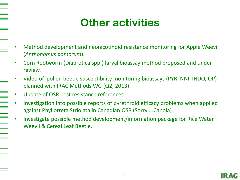## **Other activities**

- Method development and neonicotinoid resistance monitoring for Apple Weevil (*Anthonomus pomorum*).
- Corn Rootworm (Diabrotica spp.) larval bioassay method proposed and under review.
- Video of pollen beetle susceptibility monitoring bioassays (PYR, NNI, INDO, OP) planned with IRAC Methods WG (Q2, 2013).
	- Update of OSR pest resistance references.

- Investigation into possible reports of pyrethroid efficacy problems when applied against Phyllotreta Striolata in Canadian OSR (Sorry ...Canola)
- Investigate possible method development/information package for Rice Water Weevil & Cereal Leaf Beetle.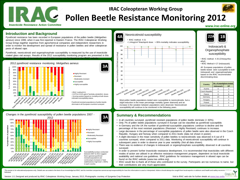### **IRAC Coleopteran Working Group Pollen Beetle Resistance Monitoring 2012**

**www.irac-online.org Insecticide Resistance Action Committee**

**1B IRAC MoA**

• IRAC method # 25 (Chlorpyrifos-

Indoxacarb & Organophosphate susceptibility

**22A IRAC MoA**

• IRAC Method # 27 (Indoxacarb)

discriminating dose.

All European populations of pollen beetle tested were susceptible to both Indoxacarb and organophosphates based on the IRAC recommended

**Country No. of populations tested**<br>Indoxacarb OP **Indoxacarb** Austria | 0 | 3  $\text{Zech}$  Republic  $\begin{array}{ccc} 0 & 2 \end{array}$ France  $\begin{array}{|c|c|c|c|c|c|c|c|c|} \hline \end{array}$  9 Germany  $\begin{vmatrix} 10 & 8 \end{vmatrix}$  8 Hungary  $\begin{vmatrix} 0 & 3 \end{vmatrix}$ Poland  $\begin{array}{|c|c|c|c|c|c|c|c|c|} \hline \end{array}$  0  $\begin{array}{|c|c|c|c|c|c|c|c|} \hline \end{array}$ United Kingdom 0 1

ethyl)

#### **Introduction and Background**

Pyrethroid resistance has been recorded in European populations of the pollen beetle (*Meligethes aeneus*) since 1999, when it was first reported in Eastern France. The IRAC Coleopteran Working Group brings together expertise from agrochemical companies and independent researchers in order to monitor the development and spread of resistance in pollen beetles and other coleopteran pests of oilseed rape.

Pyrethroid, neonicotinoid and organophosphate susceptibility is measured by the use of insecticide coated glass vial assays. Results of the 2012 susceptibility monitoring program are presented in this poster. More details of the methods used in this survey can be found on the IRAC website





**BA** 

• IRAC method #11

• 0.075 & 0.015 ug/cm<sup>2</sup>lambda-cyhalothrin doses • Scoring system based on mortality at both doses indicates susceptibility status.

Pyrethroid resistant populations of pollen beetle dominate in all European countries surveyed.

Changes in the pyrethroid susceptibility of pollen beetle populations 2007 -





slight reduction in the mean percentage mortality (green diamond) and an increase in the variation between populations were observed. Neonicotinoid susceptibility will continue to be monitored in the following years.

#### **Summary & Recommendations**

- In all countries surveyed, pyrethroid resistant populations of pollen beetle dominate (> 60%).
- Only 7% of pollen beetle populations surveyed in Europe can be classified as pyrethroid susceptible.
- In Germany and the UK the number of pyrethroid-susceptible populations continue to decline and the percentage of the most resistant populations (Resistant + Highly Resistant) continues to increase.
- Large decreases in the percentage of susceptible populations of pollen beetle were also observed in the Czech Republic, Hungary and Norway when compared to 2011 levels (data not shown in poster).
- A slight decrease in the mean sensitivity of pollen beetles to neonicotinoids was observed in 6 out of 9 countries surveyed, when compared to 2011 data. Monitoring of neonicotinoid susceptibility will continue in subsequent years in order to observe year to year variability (Not all data shown).
- There was no evidence of changes in indoxacarb or organophosphate susceptibility observed in all countries surveyed.
- In order to prevent further insecticide resistance development, it is recommended that insecticides with different modes of action are utilised in an effective resistance management program, dependent on local insecticide availability and national use guidelines. IRAC guidelines for resistance management in oilseed rape can be found on the IRAC website (www.irac-online.org).
- IRAC would like to thank all of those who contributed to the survey. Participants are too numerous to name, but their contributions are very much appreciated.

This poster is for educational purposes only. Details are accurate to the best of our knowledge but IRAC and its member companies cannot accept responsibility for how this information is used or interpreted. Advice should followed. CropLife